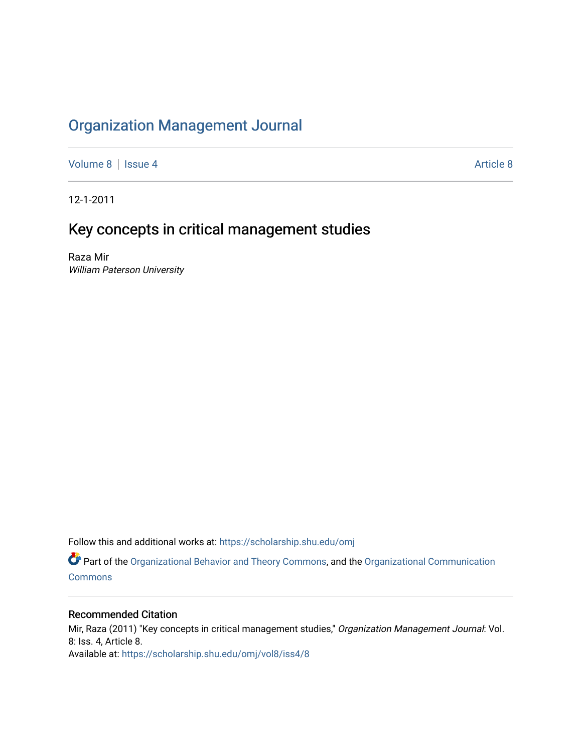## [Organization Management Journal](https://scholarship.shu.edu/omj)

[Volume 8](https://scholarship.shu.edu/omj/vol8) | [Issue 4](https://scholarship.shu.edu/omj/vol8/iss4) [Article 8](https://scholarship.shu.edu/omj/vol8/iss4/8) Article 8

12-1-2011

## Key concepts in critical management studies

Raza Mir William Paterson University

Follow this and additional works at: [https://scholarship.shu.edu/omj](https://scholarship.shu.edu/omj?utm_source=scholarship.shu.edu%2Fomj%2Fvol8%2Fiss4%2F8&utm_medium=PDF&utm_campaign=PDFCoverPages) 

Part of the [Organizational Behavior and Theory Commons,](http://network.bepress.com/hgg/discipline/639?utm_source=scholarship.shu.edu%2Fomj%2Fvol8%2Fiss4%2F8&utm_medium=PDF&utm_campaign=PDFCoverPages) and the [Organizational Communication](http://network.bepress.com/hgg/discipline/335?utm_source=scholarship.shu.edu%2Fomj%2Fvol8%2Fiss4%2F8&utm_medium=PDF&utm_campaign=PDFCoverPages) **[Commons](http://network.bepress.com/hgg/discipline/335?utm_source=scholarship.shu.edu%2Fomj%2Fvol8%2Fiss4%2F8&utm_medium=PDF&utm_campaign=PDFCoverPages)** 

### Recommended Citation

Mir, Raza (2011) "Key concepts in critical management studies," Organization Management Journal: Vol. 8: Iss. 4, Article 8. Available at: [https://scholarship.shu.edu/omj/vol8/iss4/8](https://scholarship.shu.edu/omj/vol8/iss4/8?utm_source=scholarship.shu.edu%2Fomj%2Fvol8%2Fiss4%2F8&utm_medium=PDF&utm_campaign=PDFCoverPages)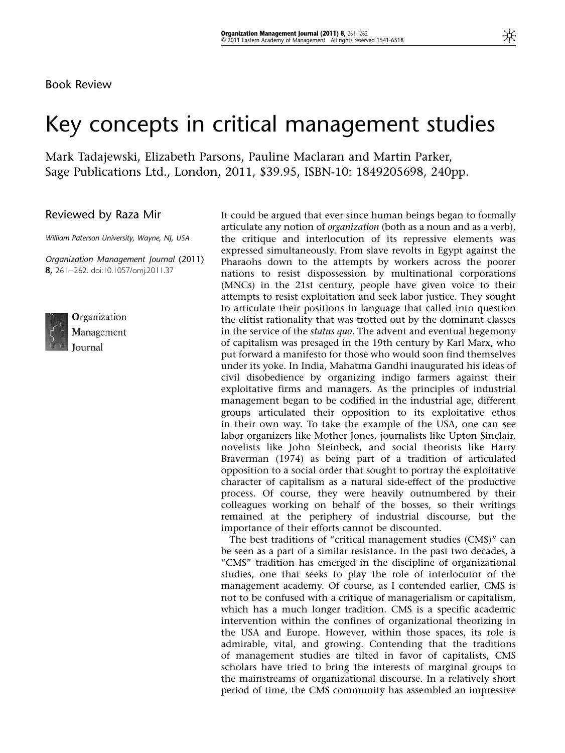Book Review

# Key concepts in critical management studies

Mark Tadajewski, Elizabeth Parsons, Pauline Maclaran and Martin Parker, Sage Publications Ltd., London, 2011, \$39.95, ISBN-10: 1849205698, 240pp.

Reviewed by Raza Mir

William Paterson University, Wayne, NJ, USA

Organization Management Journal (2011) 8, 261–262. doi:10.1057/omj.2011.37



Organization Management Journal

It could be argued that ever since human beings began to formally articulate any notion of organization (both as a noun and as a verb), the critique and interlocution of its repressive elements was expressed simultaneously. From slave revolts in Egypt against the Pharaohs down to the attempts by workers across the poorer nations to resist dispossession by multinational corporations (MNCs) in the 21st century, people have given voice to their attempts to resist exploitation and seek labor justice. They sought to articulate their positions in language that called into question the elitist rationality that was trotted out by the dominant classes in the service of the *status quo*. The advent and eventual hegemony of capitalism was presaged in the 19th century by Karl Marx, who put forward a manifesto for those who would soon find themselves under its yoke. In India, Mahatma Gandhi inaugurated his ideas of civil disobedience by organizing indigo farmers against their exploitative firms and managers. As the principles of industrial management began to be codified in the industrial age, different groups articulated their opposition to its exploitative ethos in their own way. To take the example of the USA, one can see labor organizers like Mother Jones, journalists like Upton Sinclair, novelists like John Steinbeck, and social theorists like Harry Braverman (1974) as being part of a tradition of articulated opposition to a social order that sought to portray the exploitative character of capitalism as a natural side-effect of the productive process. Of course, they were heavily outnumbered by their colleagues working on behalf of the bosses, so their writings remained at the periphery of industrial discourse, but the importance of their efforts cannot be discounted.

The best traditions of "critical management studies (CMS)" can be seen as a part of a similar resistance. In the past two decades, a "CMS" tradition has emerged in the discipline of organizational studies, one that seeks to play the role of interlocutor of the management academy. Of course, as I contended earlier, CMS is not to be confused with a critique of managerialism or capitalism, which has a much longer tradition. CMS is a specific academic intervention within the confines of organizational theorizing in the USA and Europe. However, within those spaces, its role is admirable, vital, and growing. Contending that the traditions of management studies are tilted in favor of capitalists, CMS scholars have tried to bring the interests of marginal groups to the mainstreams of organizational discourse. In a relatively short period of time, the CMS community has assembled an impressive